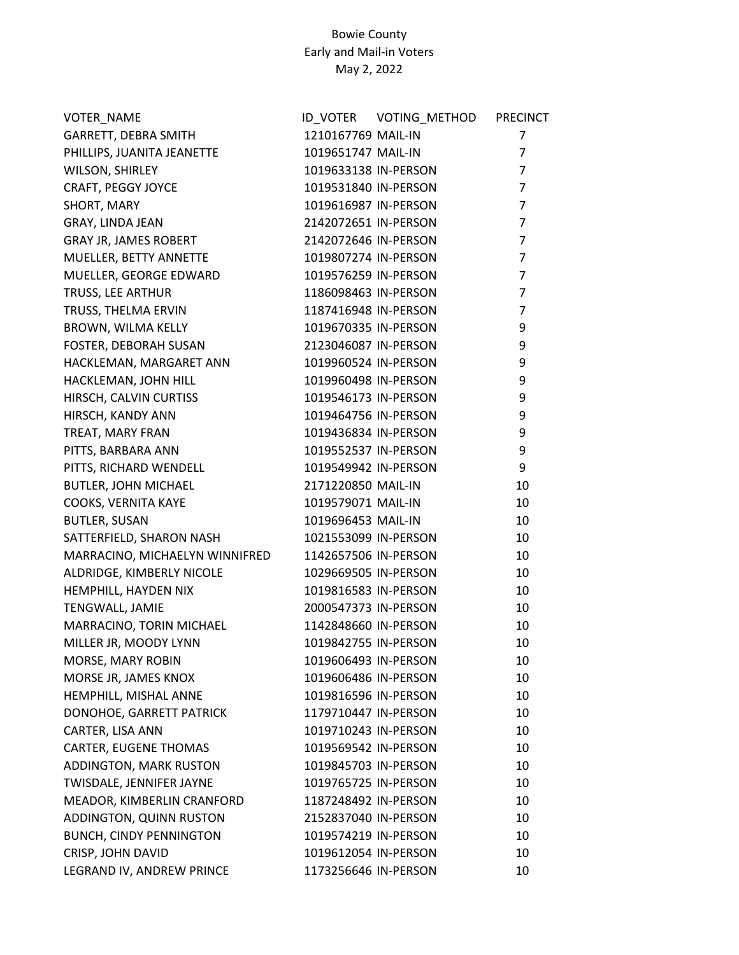| VOTER_NAME                     |                      | ID VOTER VOTING METHOD PRECINCT |                |
|--------------------------------|----------------------|---------------------------------|----------------|
| GARRETT, DEBRA SMITH           | 1210167769 MAIL-IN   |                                 | 7              |
| PHILLIPS, JUANITA JEANETTE     | 1019651747 MAIL-IN   |                                 | $\overline{7}$ |
| WILSON, SHIRLEY                | 1019633138 IN-PERSON |                                 | $\overline{7}$ |
| CRAFT, PEGGY JOYCE             | 1019531840 IN-PERSON |                                 | $\overline{7}$ |
| SHORT, MARY                    | 1019616987 IN-PERSON |                                 | $\overline{7}$ |
| GRAY, LINDA JEAN               | 2142072651 IN-PERSON |                                 | $\overline{7}$ |
| GRAY JR, JAMES ROBERT          | 2142072646 IN-PERSON |                                 | $\overline{7}$ |
| MUELLER, BETTY ANNETTE         | 1019807274 IN-PERSON |                                 | $\overline{7}$ |
| MUELLER, GEORGE EDWARD         | 1019576259 IN-PERSON |                                 | $\overline{7}$ |
| TRUSS, LEE ARTHUR              | 1186098463 IN-PERSON |                                 | $\overline{7}$ |
| TRUSS, THELMA ERVIN            | 1187416948 IN-PERSON |                                 | $\overline{7}$ |
| BROWN, WILMA KELLY             | 1019670335 IN-PERSON |                                 | 9              |
| FOSTER, DEBORAH SUSAN          | 2123046087 IN-PERSON |                                 | 9              |
| HACKLEMAN, MARGARET ANN        | 1019960524 IN-PERSON |                                 | 9              |
| HACKLEMAN, JOHN HILL           | 1019960498 IN-PERSON |                                 | 9              |
| HIRSCH, CALVIN CURTISS         | 1019546173 IN-PERSON |                                 | 9              |
| HIRSCH, KANDY ANN              | 1019464756 IN-PERSON |                                 | 9              |
| TREAT, MARY FRAN               | 1019436834 IN-PERSON |                                 | 9              |
| PITTS, BARBARA ANN             | 1019552537 IN-PERSON |                                 | 9              |
| PITTS, RICHARD WENDELL         | 1019549942 IN-PERSON |                                 | 9              |
| <b>BUTLER, JOHN MICHAEL</b>    | 2171220850 MAIL-IN   |                                 | 10             |
| COOKS, VERNITA KAYE            | 1019579071 MAIL-IN   |                                 | 10             |
| <b>BUTLER, SUSAN</b>           | 1019696453 MAIL-IN   |                                 | 10             |
| SATTERFIELD, SHARON NASH       |                      | 1021553099 IN-PERSON            | 10             |
| MARRACINO, MICHAELYN WINNIFRED | 1142657506 IN-PERSON |                                 | 10             |
| ALDRIDGE, KIMBERLY NICOLE      | 1029669505 IN-PERSON |                                 | 10             |
| HEMPHILL, HAYDEN NIX           | 1019816583 IN-PERSON |                                 | 10             |
| TENGWALL, JAMIE                | 2000547373 IN-PERSON |                                 | 10             |
| MARRACINO, TORIN MICHAEL       | 1142848660 IN-PERSON |                                 | 10             |
| MILLER JR, MOODY LYNN          | 1019842755 IN-PERSON |                                 | 10             |
| MORSE, MARY ROBIN              | 1019606493 IN-PERSON |                                 | 10             |
| MORSE JR, JAMES KNOX           | 1019606486 IN-PERSON |                                 | 10             |
| HEMPHILL, MISHAL ANNE          | 1019816596 IN-PERSON |                                 | 10             |
| DONOHOE, GARRETT PATRICK       | 1179710447 IN-PERSON |                                 | 10             |
| CARTER, LISA ANN               | 1019710243 IN-PERSON |                                 | 10             |
| <b>CARTER, EUGENE THOMAS</b>   | 1019569542 IN-PERSON |                                 | 10             |
| ADDINGTON, MARK RUSTON         | 1019845703 IN-PERSON |                                 | 10             |
| TWISDALE, JENNIFER JAYNE       | 1019765725 IN-PERSON |                                 | 10             |
| MEADOR, KIMBERLIN CRANFORD     | 1187248492 IN-PERSON |                                 | 10             |
| ADDINGTON, QUINN RUSTON        | 2152837040 IN-PERSON |                                 | 10             |
| <b>BUNCH, CINDY PENNINGTON</b> | 1019574219 IN-PERSON |                                 | 10             |
| CRISP, JOHN DAVID              | 1019612054 IN-PERSON |                                 | 10             |
| LEGRAND IV, ANDREW PRINCE      | 1173256646 IN-PERSON |                                 | 10             |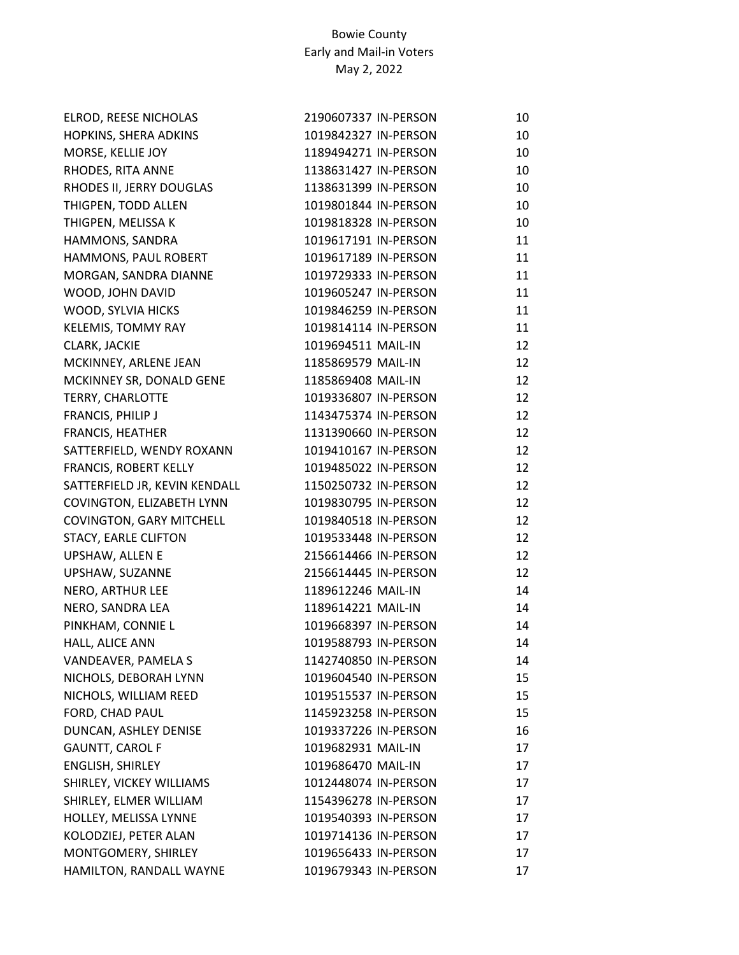| ELROD, REESE NICHOLAS           | 2190607337 IN-PERSON | 10 |
|---------------------------------|----------------------|----|
| HOPKINS, SHERA ADKINS           | 1019842327 IN-PERSON | 10 |
| MORSE, KELLIE JOY               | 1189494271 IN-PERSON | 10 |
| RHODES, RITA ANNE               | 1138631427 IN-PERSON | 10 |
| RHODES II, JERRY DOUGLAS        | 1138631399 IN-PERSON | 10 |
| THIGPEN, TODD ALLEN             | 1019801844 IN-PERSON | 10 |
| THIGPEN, MELISSA K              | 1019818328 IN-PERSON | 10 |
| HAMMONS, SANDRA                 | 1019617191 IN-PERSON | 11 |
| HAMMONS, PAUL ROBERT            | 1019617189 IN-PERSON | 11 |
| MORGAN, SANDRA DIANNE           | 1019729333 IN-PERSON | 11 |
| WOOD, JOHN DAVID                | 1019605247 IN-PERSON | 11 |
| WOOD, SYLVIA HICKS              | 1019846259 IN-PERSON | 11 |
| KELEMIS, TOMMY RAY              | 1019814114 IN-PERSON | 11 |
| CLARK, JACKIE                   | 1019694511 MAIL-IN   | 12 |
| MCKINNEY, ARLENE JEAN           | 1185869579 MAIL-IN   | 12 |
| MCKINNEY SR, DONALD GENE        | 1185869408 MAIL-IN   | 12 |
| <b>TERRY, CHARLOTTE</b>         | 1019336807 IN-PERSON | 12 |
| FRANCIS, PHILIP J               | 1143475374 IN-PERSON | 12 |
| <b>FRANCIS, HEATHER</b>         | 1131390660 IN-PERSON | 12 |
| SATTERFIELD, WENDY ROXANN       | 1019410167 IN-PERSON | 12 |
| <b>FRANCIS, ROBERT KELLY</b>    | 1019485022 IN-PERSON | 12 |
| SATTERFIELD JR, KEVIN KENDALL   | 1150250732 IN-PERSON | 12 |
| COVINGTON, ELIZABETH LYNN       | 1019830795 IN-PERSON | 12 |
| <b>COVINGTON, GARY MITCHELL</b> | 1019840518 IN-PERSON | 12 |
| <b>STACY, EARLE CLIFTON</b>     | 1019533448 IN-PERSON | 12 |
| UPSHAW, ALLEN E                 | 2156614466 IN-PERSON | 12 |
| UPSHAW, SUZANNE                 | 2156614445 IN-PERSON | 12 |
| NERO, ARTHUR LEE                | 1189612246 MAIL-IN   | 14 |
| NERO, SANDRA LEA                | 1189614221 MAIL-IN   | 14 |
| PINKHAM, CONNIE L               | 1019668397 IN-PERSON | 14 |
| HALL, ALICE ANN                 | 1019588793 IN-PERSON | 14 |
| VANDEAVER, PAMELA S             | 1142740850 IN-PERSON | 14 |
| NICHOLS, DEBORAH LYNN           | 1019604540 IN-PERSON | 15 |
| NICHOLS, WILLIAM REED           | 1019515537 IN-PERSON | 15 |
| FORD, CHAD PAUL                 | 1145923258 IN-PERSON | 15 |
| DUNCAN, ASHLEY DENISE           | 1019337226 IN-PERSON | 16 |
| <b>GAUNTT, CAROL F</b>          | 1019682931 MAIL-IN   | 17 |
| ENGLISH, SHIRLEY                | 1019686470 MAIL-IN   | 17 |
| SHIRLEY, VICKEY WILLIAMS        | 1012448074 IN-PERSON | 17 |
| SHIRLEY, ELMER WILLIAM          | 1154396278 IN-PERSON | 17 |
| HOLLEY, MELISSA LYNNE           | 1019540393 IN-PERSON | 17 |
| KOLODZIEJ, PETER ALAN           | 1019714136 IN-PERSON | 17 |
| MONTGOMERY, SHIRLEY             | 1019656433 IN-PERSON | 17 |
| HAMILTON, RANDALL WAYNE         | 1019679343 IN-PERSON | 17 |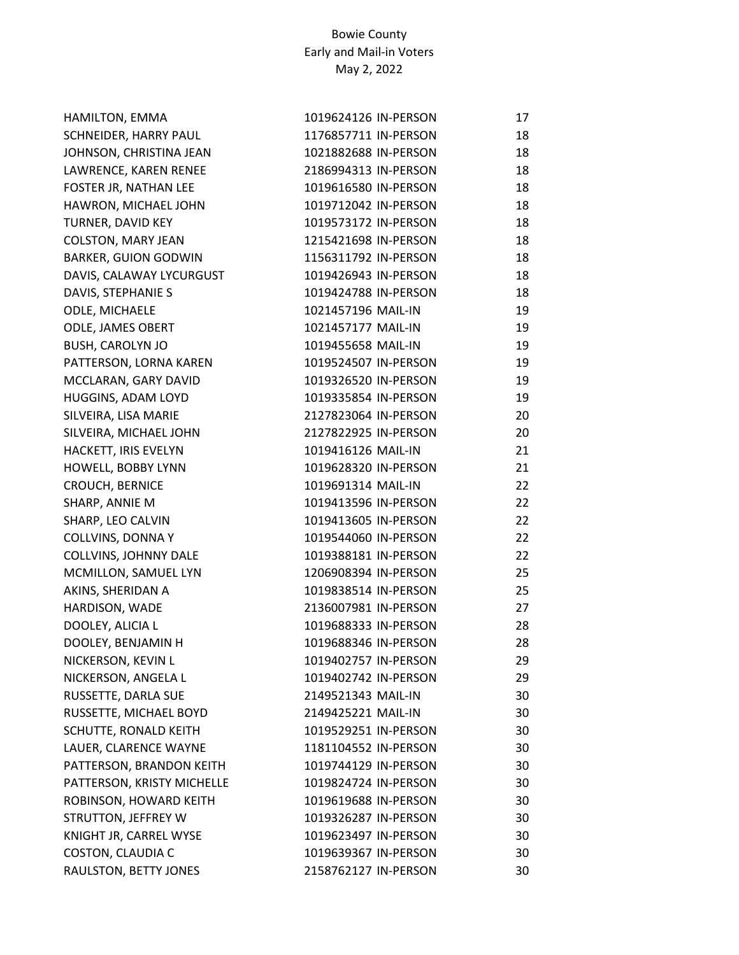| HAMILTON, EMMA              | 1019624126 IN-PERSON | 17 |
|-----------------------------|----------------------|----|
| SCHNEIDER, HARRY PAUL       | 1176857711 IN-PERSON | 18 |
| JOHNSON, CHRISTINA JEAN     | 1021882688 IN-PERSON | 18 |
| LAWRENCE, KAREN RENEE       | 2186994313 IN-PERSON | 18 |
| FOSTER JR, NATHAN LEE       | 1019616580 IN-PERSON | 18 |
| HAWRON, MICHAEL JOHN        | 1019712042 IN-PERSON | 18 |
| TURNER, DAVID KEY           | 1019573172 IN-PERSON | 18 |
| <b>COLSTON, MARY JEAN</b>   | 1215421698 IN-PERSON | 18 |
| <b>BARKER, GUION GODWIN</b> | 1156311792 IN-PERSON | 18 |
| DAVIS, CALAWAY LYCURGUST    | 1019426943 IN-PERSON | 18 |
| DAVIS, STEPHANIE S          | 1019424788 IN-PERSON | 18 |
| ODLE, MICHAELE              | 1021457196 MAIL-IN   | 19 |
| ODLE, JAMES OBERT           | 1021457177 MAIL-IN   | 19 |
| <b>BUSH, CAROLYN JO</b>     | 1019455658 MAIL-IN   | 19 |
| PATTERSON, LORNA KAREN      | 1019524507 IN-PERSON | 19 |
| MCCLARAN, GARY DAVID        | 1019326520 IN-PERSON | 19 |
| HUGGINS, ADAM LOYD          | 1019335854 IN-PERSON | 19 |
| SILVEIRA, LISA MARIE        | 2127823064 IN-PERSON | 20 |
| SILVEIRA, MICHAEL JOHN      | 2127822925 IN-PERSON | 20 |
| HACKETT, IRIS EVELYN        | 1019416126 MAIL-IN   | 21 |
| HOWELL, BOBBY LYNN          | 1019628320 IN-PERSON | 21 |
| CROUCH, BERNICE             | 1019691314 MAIL-IN   | 22 |
| SHARP, ANNIE M              | 1019413596 IN-PERSON | 22 |
| SHARP, LEO CALVIN           | 1019413605 IN-PERSON | 22 |
| <b>COLLVINS, DONNA Y</b>    | 1019544060 IN-PERSON | 22 |
| COLLVINS, JOHNNY DALE       | 1019388181 IN-PERSON | 22 |
| MCMILLON, SAMUEL LYN        | 1206908394 IN-PERSON | 25 |
| AKINS, SHERIDAN A           | 1019838514 IN-PERSON | 25 |
| HARDISON, WADE              | 2136007981 IN-PERSON | 27 |
| DOOLEY, ALICIA L            | 1019688333 IN-PERSON | 28 |
| DOOLEY, BENJAMIN H          | 1019688346 IN-PERSON | 28 |
| NICKERSON, KEVIN L          | 1019402757 IN-PERSON | 29 |
| NICKERSON, ANGELA L         | 1019402742 IN-PERSON | 29 |
| RUSSETTE, DARLA SUE         | 2149521343 MAIL-IN   | 30 |
| RUSSETTE, MICHAEL BOYD      | 2149425221 MAIL-IN   | 30 |
| SCHUTTE, RONALD KEITH       | 1019529251 IN-PERSON | 30 |
| LAUER, CLARENCE WAYNE       | 1181104552 IN-PERSON | 30 |
| PATTERSON, BRANDON KEITH    | 1019744129 IN-PERSON | 30 |
| PATTERSON, KRISTY MICHELLE  | 1019824724 IN-PERSON | 30 |
| ROBINSON, HOWARD KEITH      | 1019619688 IN-PERSON | 30 |
| STRUTTON, JEFFREY W         | 1019326287 IN-PERSON | 30 |
| KNIGHT JR, CARREL WYSE      | 1019623497 IN-PERSON | 30 |
| COSTON, CLAUDIA C           | 1019639367 IN-PERSON | 30 |
| RAULSTON, BETTY JONES       | 2158762127 IN-PERSON | 30 |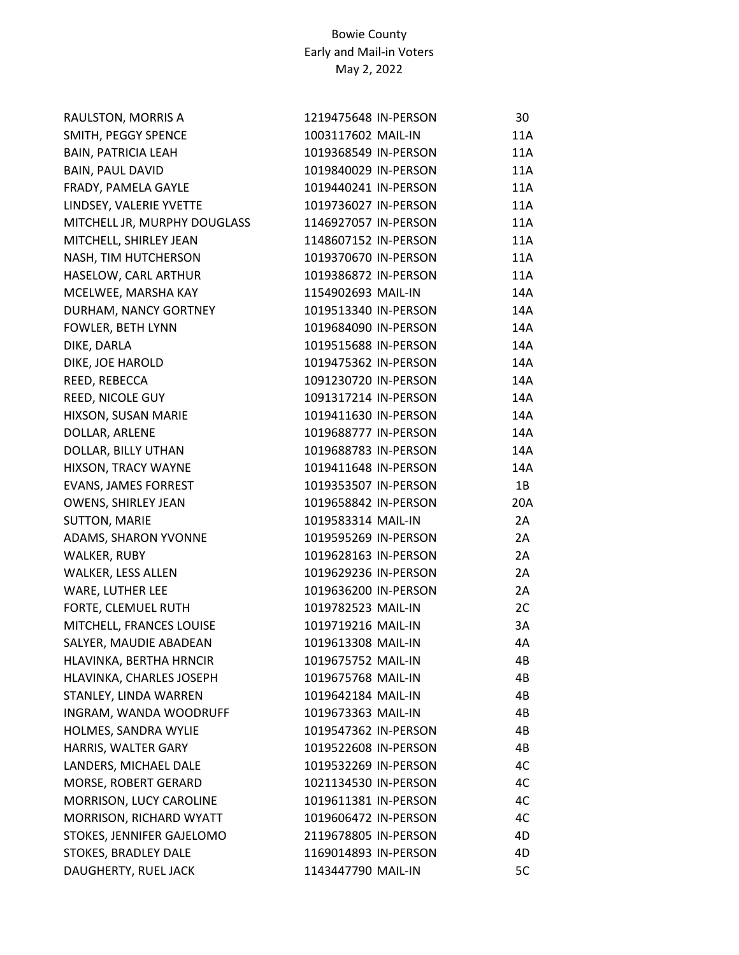| RAULSTON, MORRIS A           | 1219475648 IN-PERSON | 30         |
|------------------------------|----------------------|------------|
| SMITH, PEGGY SPENCE          | 1003117602 MAIL-IN   | 11A        |
| <b>BAIN, PATRICIA LEAH</b>   | 1019368549 IN-PERSON | 11A        |
| <b>BAIN, PAUL DAVID</b>      | 1019840029 IN-PERSON | 11A        |
| FRADY, PAMELA GAYLE          | 1019440241 IN-PERSON | 11A        |
| LINDSEY, VALERIE YVETTE      | 1019736027 IN-PERSON | 11A        |
| MITCHELL JR, MURPHY DOUGLASS | 1146927057 IN-PERSON | 11A        |
| MITCHELL, SHIRLEY JEAN       | 1148607152 IN-PERSON | 11A        |
| NASH, TIM HUTCHERSON         | 1019370670 IN-PERSON | 11A        |
| HASELOW, CARL ARTHUR         | 1019386872 IN-PERSON | <b>11A</b> |
| MCELWEE, MARSHA KAY          | 1154902693 MAIL-IN   | 14A        |
| DURHAM, NANCY GORTNEY        | 1019513340 IN-PERSON | 14A        |
| FOWLER, BETH LYNN            | 1019684090 IN-PERSON | 14A        |
| DIKE, DARLA                  | 1019515688 IN-PERSON | 14A        |
| DIKE, JOE HAROLD             | 1019475362 IN-PERSON | 14A        |
| REED, REBECCA                | 1091230720 IN-PERSON | 14A        |
| REED, NICOLE GUY             | 1091317214 IN-PERSON | 14A        |
| HIXSON, SUSAN MARIE          | 1019411630 IN-PERSON | 14A        |
| DOLLAR, ARLENE               | 1019688777 IN-PERSON | 14A        |
| DOLLAR, BILLY UTHAN          | 1019688783 IN-PERSON | 14A        |
| HIXSON, TRACY WAYNE          | 1019411648 IN-PERSON | 14A        |
| EVANS, JAMES FORREST         | 1019353507 IN-PERSON | 1B         |
| OWENS, SHIRLEY JEAN          | 1019658842 IN-PERSON | 20A        |
| <b>SUTTON, MARIE</b>         | 1019583314 MAIL-IN   | 2A         |
| ADAMS, SHARON YVONNE         | 1019595269 IN-PERSON | 2A         |
| WALKER, RUBY                 | 1019628163 IN-PERSON | 2A         |
| WALKER, LESS ALLEN           | 1019629236 IN-PERSON | 2A         |
| WARE, LUTHER LEE             | 1019636200 IN-PERSON | 2A         |
| FORTE, CLEMUEL RUTH          | 1019782523 MAIL-IN   | 2C         |
| MITCHELL, FRANCES LOUISE     | 1019719216 MAIL-IN   | 3A         |
| SALYER, MAUDIE ABADEAN       | 1019613308 MAIL-IN   | 4A         |
| HLAVINKA, BERTHA HRNCIR      | 1019675752 MAIL-IN   | 4B         |
| HLAVINKA, CHARLES JOSEPH     | 1019675768 MAIL-IN   | 4B         |
| STANLEY, LINDA WARREN        | 1019642184 MAIL-IN   | 4B         |
| INGRAM, WANDA WOODRUFF       | 1019673363 MAIL-IN   | 4B         |
| HOLMES, SANDRA WYLIE         | 1019547362 IN-PERSON | 4B         |
| HARRIS, WALTER GARY          | 1019522608 IN-PERSON | 4B         |
| LANDERS, MICHAEL DALE        | 1019532269 IN-PERSON | 4C         |
| MORSE, ROBERT GERARD         | 1021134530 IN-PERSON | 4C         |
| MORRISON, LUCY CAROLINE      | 1019611381 IN-PERSON | 4C         |
| MORRISON, RICHARD WYATT      | 1019606472 IN-PERSON | 4C         |
| STOKES, JENNIFER GAJELOMO    | 2119678805 IN-PERSON | 4D         |
| STOKES, BRADLEY DALE         | 1169014893 IN-PERSON | 4D         |
| DAUGHERTY, RUEL JACK         | 1143447790 MAIL-IN   | 5C         |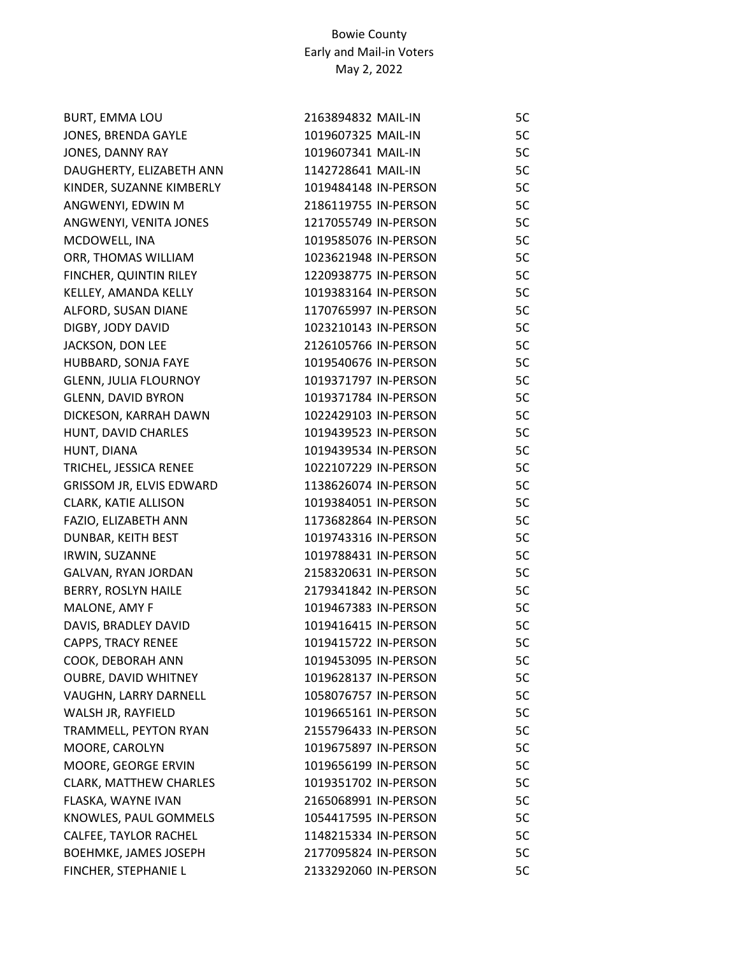| <b>BURT, EMMA LOU</b>         | 2163894832 MAIL-IN   | 5C |
|-------------------------------|----------------------|----|
| JONES, BRENDA GAYLE           | 1019607325 MAIL-IN   | 5C |
| JONES, DANNY RAY              | 1019607341 MAIL-IN   | 5C |
| DAUGHERTY, ELIZABETH ANN      | 1142728641 MAIL-IN   | 5C |
| KINDER, SUZANNE KIMBERLY      | 1019484148 IN-PERSON | 5C |
| ANGWENYI, EDWIN M             | 2186119755 IN-PERSON | 5C |
| ANGWENYI, VENITA JONES        | 1217055749 IN-PERSON | 5C |
| MCDOWELL, INA                 | 1019585076 IN-PERSON | 5C |
| ORR, THOMAS WILLIAM           | 1023621948 IN-PERSON | 5C |
| FINCHER, QUINTIN RILEY        | 1220938775 IN-PERSON | 5C |
| KELLEY, AMANDA KELLY          | 1019383164 IN-PERSON | 5C |
| ALFORD, SUSAN DIANE           | 1170765997 IN-PERSON | 5C |
| DIGBY, JODY DAVID             | 1023210143 IN-PERSON | 5C |
| JACKSON, DON LEE              | 2126105766 IN-PERSON | 5C |
| HUBBARD, SONJA FAYE           | 1019540676 IN-PERSON | 5C |
| <b>GLENN, JULIA FLOURNOY</b>  | 1019371797 IN-PERSON | 5C |
| <b>GLENN, DAVID BYRON</b>     | 1019371784 IN-PERSON | 5C |
| DICKESON, KARRAH DAWN         | 1022429103 IN-PERSON | 5C |
| HUNT, DAVID CHARLES           | 1019439523 IN-PERSON | 5C |
| HUNT, DIANA                   | 1019439534 IN-PERSON | 5C |
| TRICHEL, JESSICA RENEE        | 1022107229 IN-PERSON | 5C |
| GRISSOM JR, ELVIS EDWARD      | 1138626074 IN-PERSON | 5C |
| CLARK, KATIE ALLISON          | 1019384051 IN-PERSON | 5C |
| FAZIO, ELIZABETH ANN          | 1173682864 IN-PERSON | 5C |
| DUNBAR, KEITH BEST            | 1019743316 IN-PERSON | 5C |
| IRWIN, SUZANNE                | 1019788431 IN-PERSON | 5C |
| GALVAN, RYAN JORDAN           | 2158320631 IN-PERSON | 5C |
| BERRY, ROSLYN HAILE           | 2179341842 IN-PERSON | 5C |
| MALONE, AMY F                 | 1019467383 IN-PERSON | 5C |
| DAVIS, BRADLEY DAVID          | 1019416415 IN-PERSON | 5C |
| <b>CAPPS, TRACY RENEE</b>     | 1019415722 IN-PERSON | 5C |
| COOK, DEBORAH ANN             | 1019453095 IN-PERSON | 5C |
| <b>OUBRE, DAVID WHITNEY</b>   | 1019628137 IN-PERSON | 5C |
| VAUGHN, LARRY DARNELL         | 1058076757 IN-PERSON | 5C |
| WALSH JR, RAYFIELD            | 1019665161 IN-PERSON | 5C |
| TRAMMELL, PEYTON RYAN         | 2155796433 IN-PERSON | 5C |
| MOORE, CAROLYN                | 1019675897 IN-PERSON | 5C |
| MOORE, GEORGE ERVIN           | 1019656199 IN-PERSON | 5C |
| <b>CLARK, MATTHEW CHARLES</b> | 1019351702 IN-PERSON | 5C |
| FLASKA, WAYNE IVAN            | 2165068991 IN-PERSON | 5C |
| KNOWLES, PAUL GOMMELS         | 1054417595 IN-PERSON | 5C |
| CALFEE, TAYLOR RACHEL         | 1148215334 IN-PERSON | 5C |
| <b>BOEHMKE, JAMES JOSEPH</b>  | 2177095824 IN-PERSON | 5C |
| FINCHER, STEPHANIE L          | 2133292060 IN-PERSON | 5C |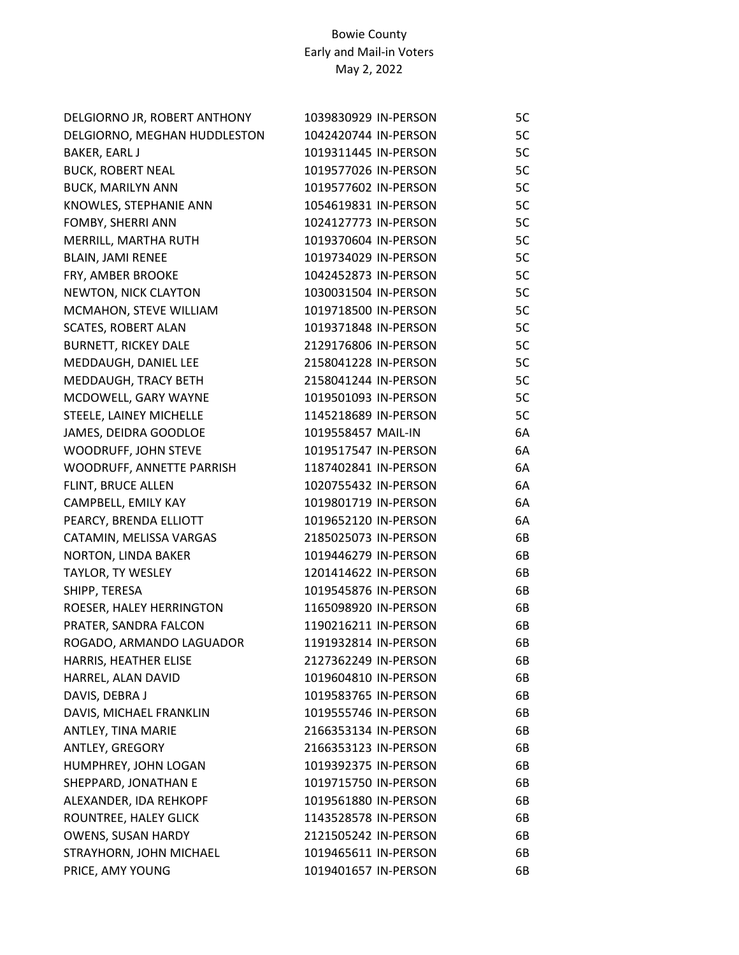| DELGIORNO JR, ROBERT ANTHONY | 1039830929 IN-PERSON | 5C |
|------------------------------|----------------------|----|
| DELGIORNO, MEGHAN HUDDLESTON | 1042420744 IN-PERSON | 5C |
| BAKER, EARL J                | 1019311445 IN-PERSON | 5C |
| <b>BUCK, ROBERT NEAL</b>     | 1019577026 IN-PERSON | 5C |
| <b>BUCK, MARILYN ANN</b>     | 1019577602 IN-PERSON | 5C |
| KNOWLES, STEPHANIE ANN       | 1054619831 IN-PERSON | 5C |
| FOMBY, SHERRI ANN            | 1024127773 IN-PERSON | 5C |
| MERRILL, MARTHA RUTH         | 1019370604 IN-PERSON | 5C |
| <b>BLAIN, JAMI RENEE</b>     | 1019734029 IN-PERSON | 5C |
| FRY, AMBER BROOKE            | 1042452873 IN-PERSON | 5C |
| NEWTON, NICK CLAYTON         | 1030031504 IN-PERSON | 5C |
| MCMAHON, STEVE WILLIAM       | 1019718500 IN-PERSON | 5C |
| <b>SCATES, ROBERT ALAN</b>   | 1019371848 IN-PERSON | 5C |
| <b>BURNETT, RICKEY DALE</b>  | 2129176806 IN-PERSON | 5C |
| MEDDAUGH, DANIEL LEE         | 2158041228 IN-PERSON | 5C |
| MEDDAUGH, TRACY BETH         | 2158041244 IN-PERSON | 5C |
| MCDOWELL, GARY WAYNE         | 1019501093 IN-PERSON | 5C |
| STEELE, LAINEY MICHELLE      | 1145218689 IN-PERSON | 5C |
| JAMES, DEIDRA GOODLOE        | 1019558457 MAIL-IN   | 6A |
| WOODRUFF, JOHN STEVE         | 1019517547 IN-PERSON | 6A |
| WOODRUFF, ANNETTE PARRISH    | 1187402841 IN-PERSON | 6A |
| FLINT, BRUCE ALLEN           | 1020755432 IN-PERSON | 6A |
| CAMPBELL, EMILY KAY          | 1019801719 IN-PERSON | 6A |
| PEARCY, BRENDA ELLIOTT       | 1019652120 IN-PERSON | 6A |
| CATAMIN, MELISSA VARGAS      | 2185025073 IN-PERSON | 6B |
| NORTON, LINDA BAKER          | 1019446279 IN-PERSON | 6B |
| TAYLOR, TY WESLEY            | 1201414622 IN-PERSON | 6B |
| SHIPP, TERESA                | 1019545876 IN-PERSON | 6B |
| ROESER, HALEY HERRINGTON     | 1165098920 IN-PERSON | 6B |
| PRATER, SANDRA FALCON        | 1190216211 IN-PERSON | 6B |
| ROGADO, ARMANDO LAGUADOR     | 1191932814 IN-PERSON | 6B |
| HARRIS, HEATHER ELISE        | 2127362249 IN-PERSON | 6B |
| HARREL, ALAN DAVID           | 1019604810 IN-PERSON | 6B |
| DAVIS, DEBRA J               | 1019583765 IN-PERSON | 6B |
| DAVIS, MICHAEL FRANKLIN      | 1019555746 IN-PERSON | 6B |
| ANTLEY, TINA MARIE           | 2166353134 IN-PERSON | 6B |
| ANTLEY, GREGORY              | 2166353123 IN-PERSON | 6B |
| HUMPHREY, JOHN LOGAN         | 1019392375 IN-PERSON | 6B |
| SHEPPARD, JONATHAN E         | 1019715750 IN-PERSON | 6B |
| ALEXANDER, IDA REHKOPF       | 1019561880 IN-PERSON | 6B |
| ROUNTREE, HALEY GLICK        | 1143528578 IN-PERSON | 6B |
| <b>OWENS, SUSAN HARDY</b>    | 2121505242 IN-PERSON | 6B |
| STRAYHORN, JOHN MICHAEL      | 1019465611 IN-PERSON | 6B |
| PRICE, AMY YOUNG             | 1019401657 IN-PERSON | 6B |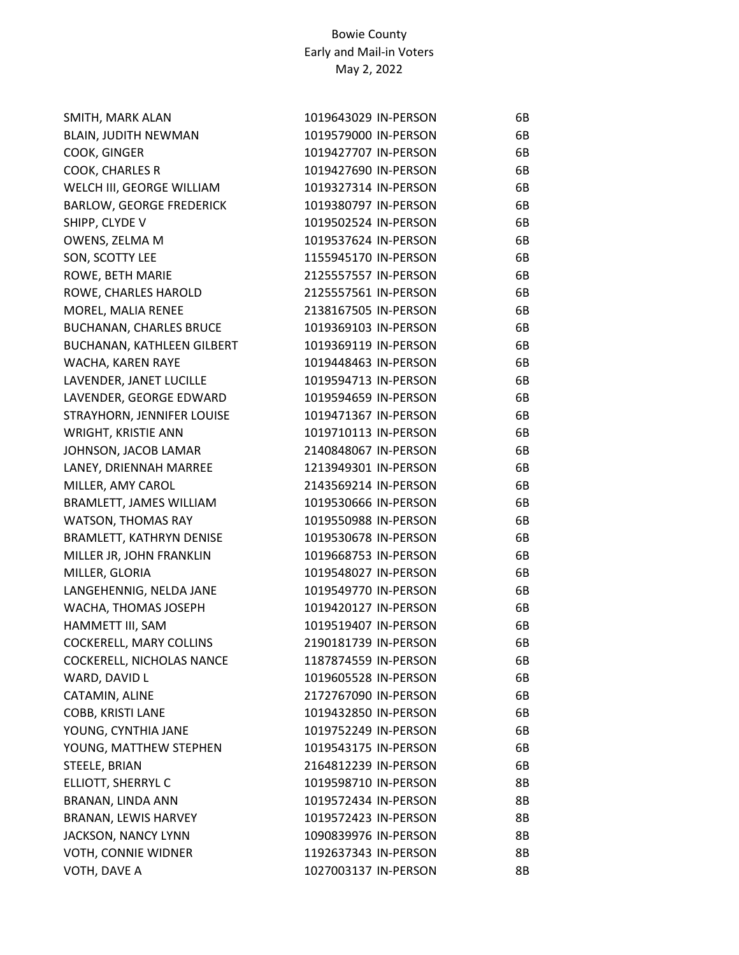| SMITH, MARK ALAN                | 1019643029 IN-PERSON | 6B |
|---------------------------------|----------------------|----|
| <b>BLAIN, JUDITH NEWMAN</b>     | 1019579000 IN-PERSON | 6B |
| COOK, GINGER                    | 1019427707 IN-PERSON | 6B |
| COOK, CHARLES R                 | 1019427690 IN-PERSON | 6B |
| WELCH III, GEORGE WILLIAM       | 1019327314 IN-PERSON | 6B |
| <b>BARLOW, GEORGE FREDERICK</b> | 1019380797 IN-PERSON | 6B |
| SHIPP, CLYDE V                  | 1019502524 IN-PERSON | 6B |
| OWENS, ZELMA M                  | 1019537624 IN-PERSON | 6B |
| SON, SCOTTY LEE                 | 1155945170 IN-PERSON | 6B |
| ROWE, BETH MARIE                | 2125557557 IN-PERSON | 6B |
| ROWE, CHARLES HAROLD            | 2125557561 IN-PERSON | 6B |
| MOREL, MALIA RENEE              | 2138167505 IN-PERSON | 6B |
| <b>BUCHANAN, CHARLES BRUCE</b>  | 1019369103 IN-PERSON | 6B |
| BUCHANAN, KATHLEEN GILBERT      | 1019369119 IN-PERSON | 6B |
| WACHA, KAREN RAYE               | 1019448463 IN-PERSON | 6B |
| LAVENDER, JANET LUCILLE         | 1019594713 IN-PERSON | 6B |
| LAVENDER, GEORGE EDWARD         | 1019594659 IN-PERSON | 6B |
| STRAYHORN, JENNIFER LOUISE      | 1019471367 IN-PERSON | 6B |
| WRIGHT, KRISTIE ANN             | 1019710113 IN-PERSON | 6B |
| JOHNSON, JACOB LAMAR            | 2140848067 IN-PERSON | 6B |
| LANEY, DRIENNAH MARREE          | 1213949301 IN-PERSON | 6B |
| MILLER, AMY CAROL               | 2143569214 IN-PERSON | 6B |
| BRAMLETT, JAMES WILLIAM         | 1019530666 IN-PERSON | 6B |
| <b>WATSON, THOMAS RAY</b>       | 1019550988 IN-PERSON | 6B |
| BRAMLETT, KATHRYN DENISE        | 1019530678 IN-PERSON | 6B |
| MILLER JR, JOHN FRANKLIN        | 1019668753 IN-PERSON | 6B |
| MILLER, GLORIA                  | 1019548027 IN-PERSON | 6B |
| LANGEHENNIG, NELDA JANE         | 1019549770 IN-PERSON | 6B |
| WACHA, THOMAS JOSEPH            | 1019420127 IN-PERSON | 6B |
| HAMMETT III, SAM                | 1019519407 IN-PERSON | 6B |
| COCKERELL, MARY COLLINS         | 2190181739 IN-PERSON | 6B |
| COCKERELL, NICHOLAS NANCE       | 1187874559 IN-PERSON | 6B |
| WARD, DAVID L                   | 1019605528 IN-PERSON | 6B |
| CATAMIN, ALINE                  | 2172767090 IN-PERSON | 6B |
| COBB, KRISTI LANE               | 1019432850 IN-PERSON | 6B |
| YOUNG, CYNTHIA JANE             | 1019752249 IN-PERSON | 6B |
| YOUNG, MATTHEW STEPHEN          | 1019543175 IN-PERSON | 6B |
| STEELE, BRIAN                   | 2164812239 IN-PERSON | 6B |
| ELLIOTT, SHERRYL C              | 1019598710 IN-PERSON | 8Β |
| BRANAN, LINDA ANN               | 1019572434 IN-PERSON | 8B |
| BRANAN, LEWIS HARVEY            | 1019572423 IN-PERSON | 8B |
| JACKSON, NANCY LYNN             | 1090839976 IN-PERSON | 8B |
| VOTH, CONNIE WIDNER             | 1192637343 IN-PERSON | 8B |
| VOTH, DAVE A                    | 1027003137 IN-PERSON | 8В |